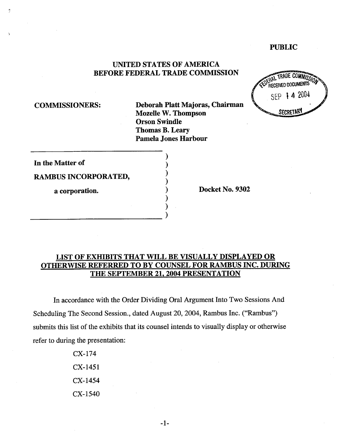### PUBLIC

# UNITED STATES OF AMERICA BEFORE FEDERAL TRADE COMMISSION

COMMISSIONERS: Deborah Platt Majoras, Chairman Mozelle W. Thompson Orson Swindle Thomas B. Leary Pamela Jones Harbour

**TRADE COMMISS** RECEIVED DOCUMENTS SEP 14.2004 **SECRETAR** 

In the Matter of

RAMBUS INCORPORATED,

a corporation. (a) a corporation between  $\alpha$  and  $\alpha$  Docket No. 9302

# LIST OF EXHIBITS THAT WILL BE VISUALLY DISPLAYED OR OTHERWISE REFERRED TO BY COUNSEL FOR RAMBUS INC. DURING THE SEPTEMBER 21. 2004 PRESENTATION

In accordance with the Order Dividing Oral Argument Into Two Sessions And Scheduling The Second Session., dated August 20, 2004, Rambus Inc. ("Rambus submits this list of the exhibits that its counsel intends to visually display or otherwise refer to during the presentation:

> CX-174 CX-1451 CX-1454 CX-1540

> > $-1-$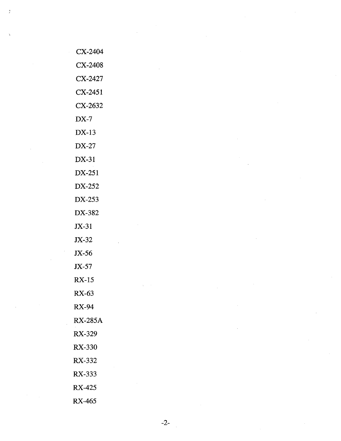| CX-2404        |  |  |
|----------------|--|--|
| CX-2408        |  |  |
| CX-2427        |  |  |
| CX-2451        |  |  |
|                |  |  |
| CX-2632        |  |  |
| $DX-7$         |  |  |
| $DX-13$        |  |  |
| $DX-27$        |  |  |
| DX-31          |  |  |
| DX-251         |  |  |
| DX-252         |  |  |
| DX-253         |  |  |
| DX-382         |  |  |
| $JX-31$        |  |  |
| $JX-32$        |  |  |
| JX-56          |  |  |
| $JX-57$        |  |  |
| <b>RX-15</b>   |  |  |
| RX-63          |  |  |
| <b>RX-94</b>   |  |  |
| <b>RX-285A</b> |  |  |
| RX-329         |  |  |
| <b>RX-330</b>  |  |  |
| RX-332         |  |  |
| RX-333         |  |  |
| RX-425         |  |  |
| RX-465         |  |  |

 $\frac{1}{2}$ 

 $\hat{\mathbf{A}}$ 

 $-2$ - $\frac{1}{2}$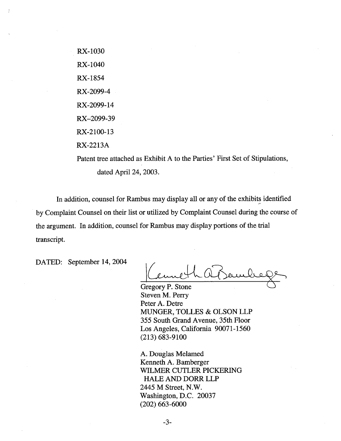RX- 1030 RX- 1040 RX- 1854 RX -2099- RX-2099- RX-2099- RX-2100- RX-2213A

Patent tree attached as Exhibit A to the Paries' First Set of Stipulations dated April 24, 2003.

In addition, counsel for Rambus may display all or any of the exhibits identified by Complaint Counsel on their list or utilized by Complaint Counsel during the course of the argument. In addition, counsel for Rambus may display portions of the tral transcript.

DATED: September 14, 2004

Gregory P. Stone Steven M. Perry Peter A. Detre MUNGER, TOLLES & OLSON LLP 355 South Grand Avenue, 35th Floor Los Angeles, California 90071-1560 (213) 683-9100

A. Douglas Melamed Kenneth A. Bamberger WILMER CUTLER PICKERING HALE AND DORR LLP 2445 M Street, N. Washington, D.C. 20037 (202) 663-6000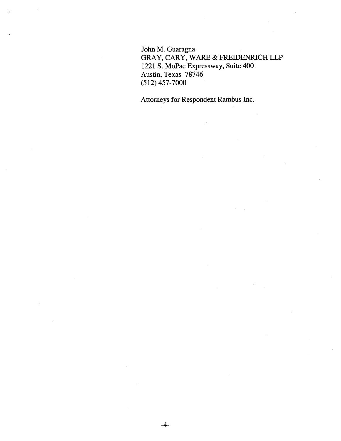John M. Guaragna GRAY, CARY, WARE & FREIDENRICH LLP 1221 S. MoPac Expressway, Suite 400 Austin, Texas 78746 (512) 457-7000

Attorneys for Respondent Rambus Inc.